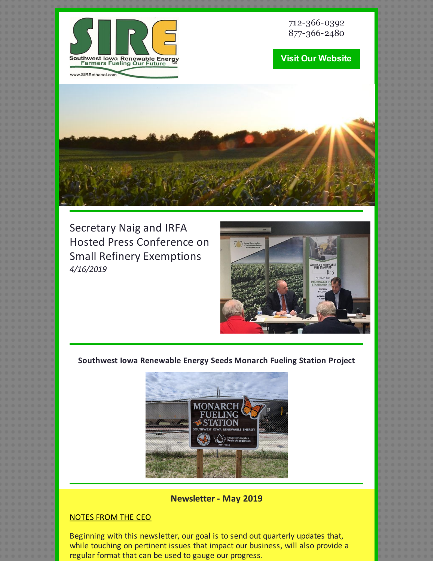

712-366-0392 877-366-2480

# **Visit Our [Website](http://www.sireethanol.com/index.cfm)**



Secretary Naig and IRFA Hosted Press Conference on Small Refinery Exemptions *4/16/2019*



## **Southwest Iowa Renewable Energy Seeds Monarch Fueling Station Project**



## **Newsletter - May 2019**

## NOTES FROM THE CEO

Beginning with this newsletter, our goal is to send out quarterly updates that, while touching on pertinent issues that impact our business, will also provide a regular format that can be used to gauge our progress.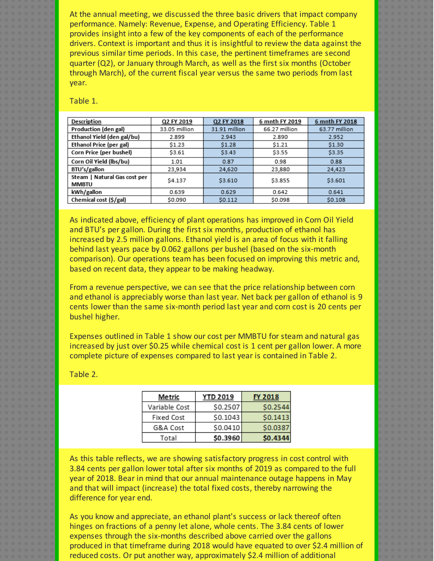At the annual meeting, we discussed the three basic drivers that impact company performance. Namely: Revenue, Expense, and Operating Efficiency. Table 1 provides insight into a few of the key components of each of the performance drivers. Context is important and thus it is insightful to review the data against the previous similar time periods. In this case, the pertinent timeframes are second quarter (Q2), or January through March, as well as the first six months (October through March), of the current fiscal year versus the same two periods from last year.

Table 1.

| Description                                  | Q2 FY 2019    | Q2 FY 2018    | 6 mnth FY 2019 | 6 mnth FY 2018 |
|----------------------------------------------|---------------|---------------|----------------|----------------|
| Production (den gal)                         | 33.05 million | 31.91 million | 66.27 million  | 63.77 million  |
| Ethanol Yield (den gal/bu)                   | 2.899         | 2.943         | 2.890          | 2.952          |
| Ethanol Price (per gal)                      | \$1.23        | \$1.28        | \$1.21         | \$1.30         |
| Corn Price (per bushel)                      | \$3.61        | \$3.43        | \$3.55         | \$3.35         |
| Corn Oil Yield (lbs/bu)                      | 1.01          | 0.87          | 0.98           | 0.88           |
| BTU's/gallon                                 | 23,934        | 24,620        | 23,880         | 24,423         |
| Steam   Natural Gas cost per<br><b>MMBTU</b> | \$4.137       | \$3.610       | \$3.855        | \$3.601        |
| kWh/gallon                                   | 0.639         | 0.629         | 0.642          | 0.641          |
| Chemical cost (\$/gal)                       | \$0.090       | \$0.112       | \$0.098        | \$0.108        |

As indicated above, efficiency of plant operations has improved in Corn Oil Yield and BTU's per gallon. During the first six months, production of ethanol has increased by 2.5 million gallons. Ethanol yield is an area of focus with it falling behind last years pace by 0.062 gallons per bushel (based on the six-month comparison). Our operations team has been focused on improving this metric and, based on recent data, they appear to be making headway.

From a revenue perspective, we can see that the price relationship between corn and ethanol is appreciably worse than last year. Net back per gallon of ethanol is 9 cents lower than the same six-month period last year and corn cost is 20 cents per bushel higher.

Expenses outlined in Table 1 show our cost per MMBTU for steam and natural gas increased by just over \$0.25 while chemical cost is 1 cent per gallon lower. A more complete picture of expenses compared to last year is contained in Table 2.

Table 2.

| Metric        | <b>YTD 2019</b> | <b>FY 2018</b> |
|---------------|-----------------|----------------|
| Variable Cost | \$0.2507        | \$0.2544       |
| Fixed Cost    | \$0.1043        | \$0.1413       |
| G&A Cost      | \$0.0410        | \$0.0387       |
| Total         | \$0.3960        | \$0.4344       |

As this table reflects, we are showing satisfactory progress in cost control with 3.84 cents per gallon lower total after six months of 2019 as compared to the full year of 2018. Bear in mind that our annual maintenance outage happens in May and that will impact (increase) the total fixed costs, thereby narrowing the difference for year end.

As you know and appreciate, an ethanol plant's success or lack thereof often hinges on fractions of a penny let alone, whole cents. The 3.84 cents of lower expenses through the six-months described above carried over the gallons produced in that timeframe during 2018 would have equated to over \$2.4 million of reduced costs. Or put another way, approximately \$2.4 million of additional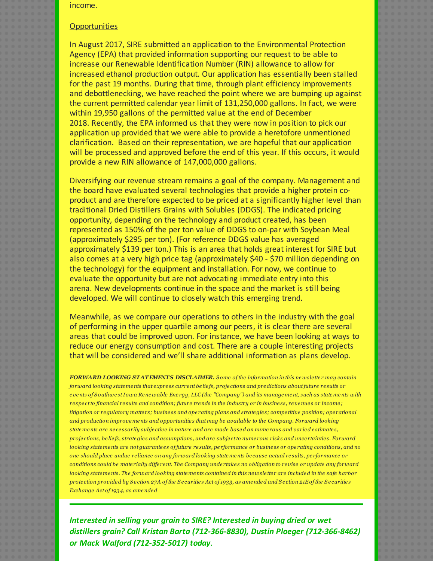income.

#### **Opportunities**

In August 2017, SIRE submitted an application to the Environmental Protection Agency (EPA) that provided information supporting our request to be able to increase our Renewable Identification Number (RIN) allowance to allow for increased ethanol production output. Our application has essentially been stalled for the past 19 months. During that time, through plant efficiency improvements and debottlenecking, we have reached the point where we are bumping up against the current permitted calendar year limit of 131,250,000 gallons. In fact, we were within 19,950 gallons of the permitted value at the end of December 2018. Recently, the EPA informed us that they were now in position to pick our application up provided that we were able to provide a heretofore unmentioned clarification. Based on their representation, we are hopeful that our application will be processed and approved before the end of this year. If this occurs, it would provide a new RIN allowance of 147,000,000 gallons.

Diversifying our revenue stream remains a goal of the company. Management and the board have evaluated several technologies that provide a higher protein coproduct and are therefore expected to be priced at a significantly higher level than traditional Dried Distillers Grains with Solubles (DDGS). The indicated pricing opportunity, depending on the technology and product created, has been represented as 150% of the per ton value of DDGS to on-par with Soybean Meal (approximately \$295 per ton). (For reference DDGS value has averaged approximately \$139 per ton.) This is an area that holds great interest for SIRE but also comes at a very high price tag (approximately \$40 - \$70 million depending on the technology) for the equipment and installation. For now, we continue to evaluate the opportunity but are not advocating immediate entry into this arena. New developments continue in the space and the market is still being developed. We will continue to closely watch this emerging trend.

Meanwhile, as we compare our operations to others in the industry with the goal of performing in the upper quartile among our peers, it is clear there are several areas that could be improved upon. For instance, we have been looking at ways to reduce our energy consumption and cost. There are a couple interesting projects that will be considered and we'll share additional information as plans develop.

*FORWARD LOOKING STATEMENTS DISCLAIMER. S ome of the information in this newsle tte r may contain* forward looking statements that express current beliefs, projections and predictions about future results or events of Southwest Iowa Renewable Energy, LLC (the "Company") and its management, such as statements with respect to financial results and condition; future trends in the industry or in business, revenues or income; litigation or regulatory matters; business and operating plans and strategies; competitive position; operational *and production improvements and opportunitie s that may be available to the Company. Forward looking* statements are necessarily subjective in nature and are made based on numerous and varied estimates, projections, beliefs, strategies and assumptions, and are subject to numerous risks and uncertainties. Forward looking statements are not quarantees of future results, performance or business or operating conditions, and no one should place undue reliance on any forward looking statements because actual results, performance or conditions could be materially different. The Company undertakes no obligation to revise or update any forward looking statements. The forward looking statements contained in this newsletter are included in the safe harbor protection provided by Section 27A of the Securities Act of 1933, as amended and Section 21E of the Securities *Exchange Act of 1934, as amended*

*Interested in selling your grain to SIRE? Interested in buying dried or wet distillers grain? Call Kristan Barta (712-366-8830), Dustin Ploeger (712-366-8462) or Mack Walford (712-352-5017) today.*